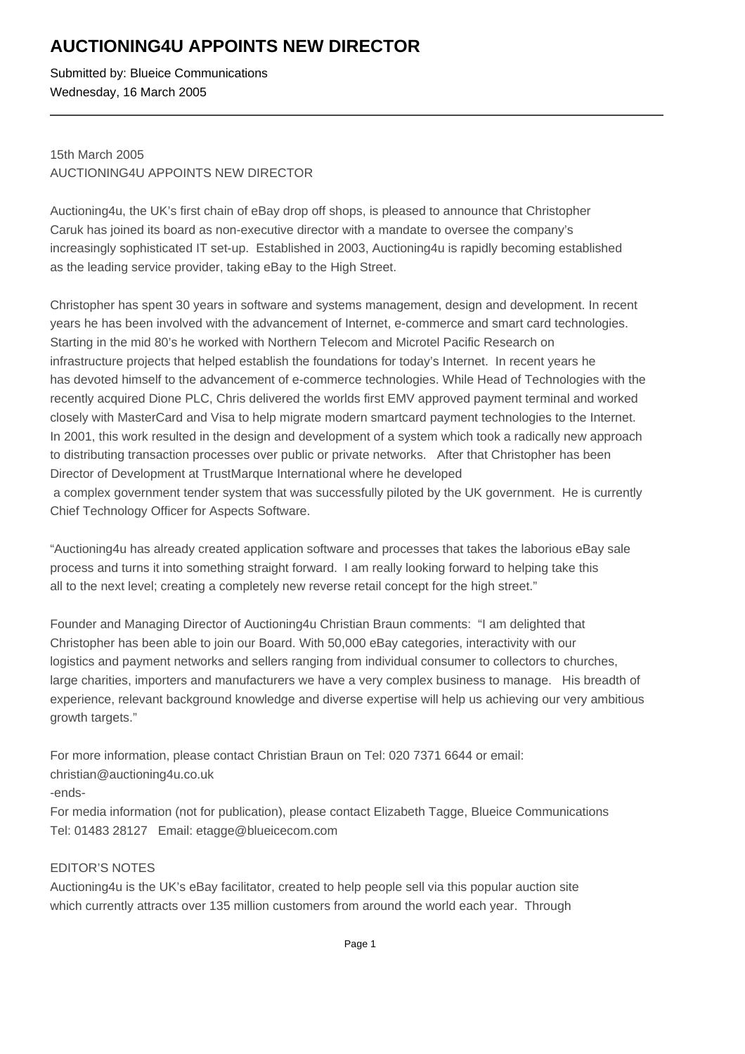# **AUCTIONING4U APPOINTS NEW DIRECTOR**

Submitted by: Blueice Communications Wednesday, 16 March 2005

15th March 2005 AUCTIONING4U APPOINTS NEW DIRECTOR

Auctioning4u, the UK's first chain of eBay drop off shops, is pleased to announce that Christopher Caruk has joined its board as non-executive director with a mandate to oversee the company's increasingly sophisticated IT set-up. Established in 2003, Auctioning4u is rapidly becoming established as the leading service provider, taking eBay to the High Street.

Christopher has spent 30 years in software and systems management, design and development. In recent years he has been involved with the advancement of Internet, e-commerce and smart card technologies. Starting in the mid 80's he worked with Northern Telecom and Microtel Pacific Research on infrastructure projects that helped establish the foundations for today's Internet. In recent years he has devoted himself to the advancement of e-commerce technologies. While Head of Technologies with the recently acquired Dione PLC, Chris delivered the worlds first EMV approved payment terminal and worked closely with MasterCard and Visa to help migrate modern smartcard payment technologies to the Internet. In 2001, this work resulted in the design and development of a system which took a radically new approach to distributing transaction processes over public or private networks. After that Christopher has been Director of Development at TrustMarque International where he developed a complex government tender system that was successfully piloted by the UK government. He is currently Chief Technology Officer for Aspects Software.

"Auctioning4u has already created application software and processes that takes the laborious eBay sale process and turns it into something straight forward. I am really looking forward to helping take this all to the next level; creating a completely new reverse retail concept for the high street."

Founder and Managing Director of Auctioning4u Christian Braun comments: "I am delighted that Christopher has been able to join our Board. With 50,000 eBay categories, interactivity with our logistics and payment networks and sellers ranging from individual consumer to collectors to churches, large charities, importers and manufacturers we have a very complex business to manage. His breadth of experience, relevant background knowledge and diverse expertise will help us achieving our very ambitious growth targets."

For more information, please contact Christian Braun on Tel: 020 7371 6644 or email: christian@auctioning4u.co.uk

-ends-

For media information (not for publication), please contact Elizabeth Tagge, Blueice Communications Tel: 01483 28127 Email: etagge@blueicecom.com

## EDITOR'S NOTES

Auctioning4u is the UK's eBay facilitator, created to help people sell via this popular auction site which currently attracts over 135 million customers from around the world each year. Through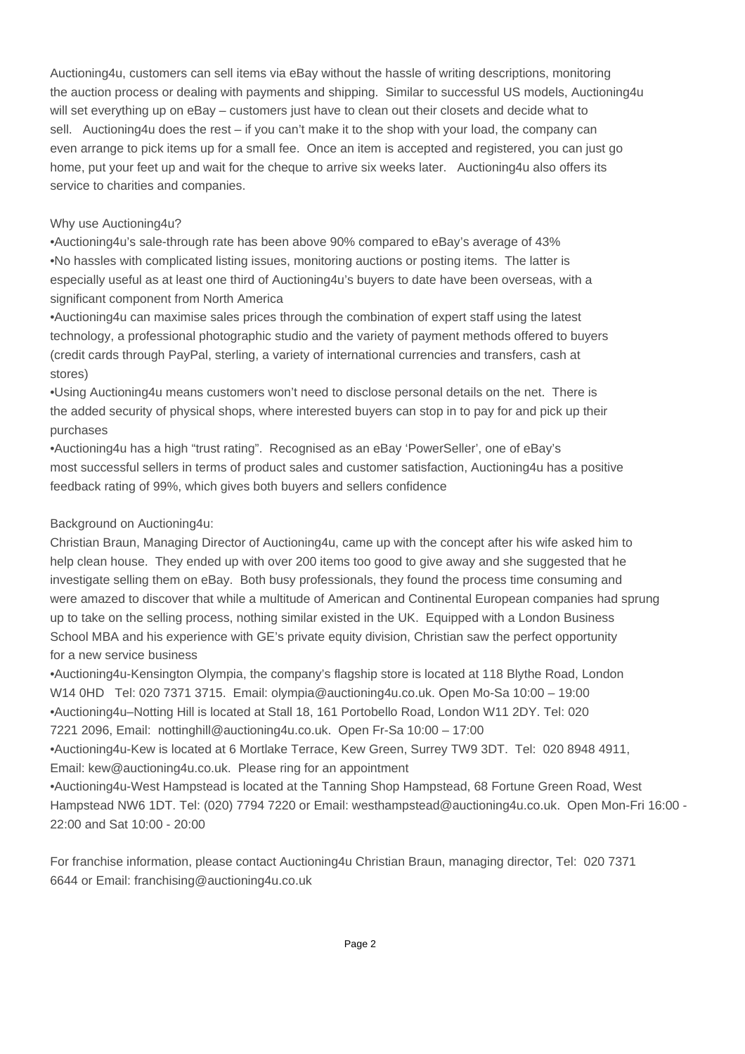Auctioning4u, customers can sell items via eBay without the hassle of writing descriptions, monitoring the auction process or dealing with payments and shipping. Similar to successful US models, Auctioning4u will set everything up on eBay – customers just have to clean out their closets and decide what to sell. Auctioning4u does the rest – if you can't make it to the shop with your load, the company can even arrange to pick items up for a small fee. Once an item is accepted and registered, you can just go home, put your feet up and wait for the cheque to arrive six weeks later. Auctioning4u also offers its service to charities and companies.

#### Why use Auctioning4u?

• Auctioning4u's sale-through rate has been above 90% compared to eBay's average of 43% • No hassles with complicated listing issues, monitoring auctions or posting items. The latter is especially useful as at least one third of Auctioning4u's buyers to date have been overseas, with a significant component from North America

• Auctioning4u can maximise sales prices through the combination of expert staff using the latest technology, a professional photographic studio and the variety of payment methods offered to buyers (credit cards through PayPal, sterling, a variety of international currencies and transfers, cash at stores)

• Using Auctioning4u means customers won't need to disclose personal details on the net. There is the added security of physical shops, where interested buyers can stop in to pay for and pick up their purchases

• Auctioning4u has a high "trust rating". Recognised as an eBay 'PowerSeller', one of eBay's most successful sellers in terms of product sales and customer satisfaction, Auctioning4u has a positive feedback rating of 99%, which gives both buyers and sellers confidence

## Background on Auctioning4u:

Christian Braun, Managing Director of Auctioning4u, came up with the concept after his wife asked him to help clean house. They ended up with over 200 items too good to give away and she suggested that he investigate selling them on eBay. Both busy professionals, they found the process time consuming and were amazed to discover that while a multitude of American and Continental European companies had sprung up to take on the selling process, nothing similar existed in the UK. Equipped with a London Business School MBA and his experience with GE's private equity division, Christian saw the perfect opportunity for a new service business

• Auctioning4u-Kensington Olympia, the company's flagship store is located at 118 Blythe Road, London W14 0HD Tel: 020 7371 3715. Email: olympia@auctioning4u.co.uk. Open Mo-Sa 10:00 – 19:00

• Auctioning4u–Notting Hill is located at Stall 18, 161 Portobello Road, London W11 2DY. Tel: 020 7221 2096, Email: nottinghill@auctioning4u.co.uk. Open Fr-Sa 10:00 – 17:00

• Auctioning4u-Kew is located at 6 Mortlake Terrace, Kew Green, Surrey TW9 3DT. Tel: 020 8948 4911, Email: kew@auctioning4u.co.uk. Please ring for an appointment

• Auctioning4u-West Hampstead is located at the Tanning Shop Hampstead, 68 Fortune Green Road, West Hampstead NW6 1DT. Tel: (020) 7794 7220 or Email: westhampstead@auctioning4u.co.uk. Open Mon-Fri 16:00 - 22:00 and Sat 10:00 - 20:00

For franchise information, please contact Auctioning4u Christian Braun, managing director, Tel: 020 7371 6644 or Email: franchising@auctioning4u.co.uk